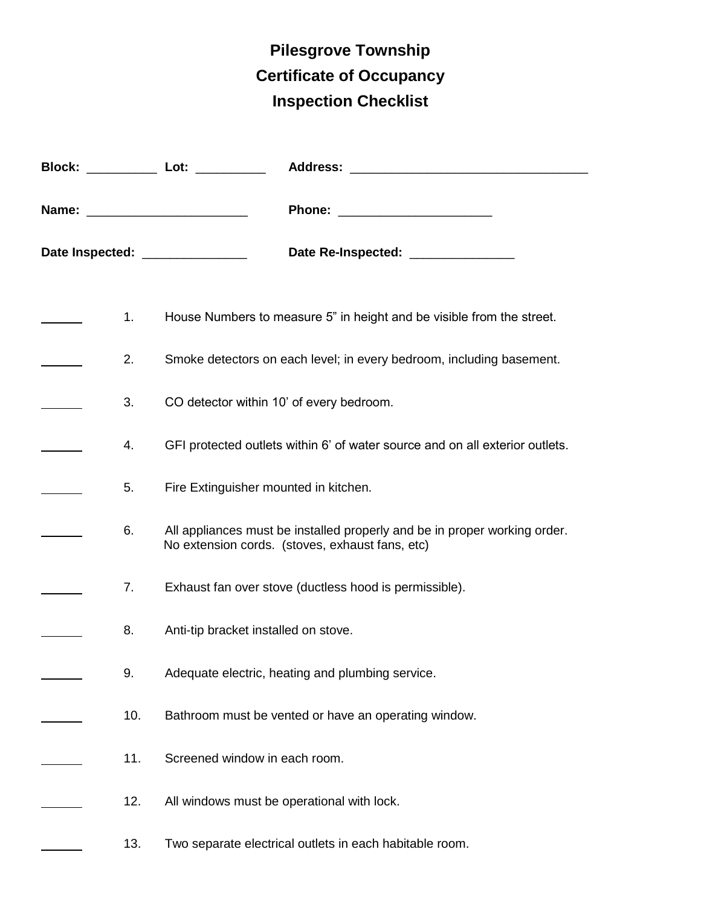## **Pilesgrove Township Certificate of Occupancy Inspection Checklist**

|     | Date Inspected: _______________<br>Date Re-Inspected: _______________                                                        |
|-----|------------------------------------------------------------------------------------------------------------------------------|
| 1.  | House Numbers to measure 5" in height and be visible from the street.                                                        |
| 2.  | Smoke detectors on each level; in every bedroom, including basement.                                                         |
| 3.  | CO detector within 10' of every bedroom.                                                                                     |
| 4.  | GFI protected outlets within 6' of water source and on all exterior outlets.                                                 |
| 5.  | Fire Extinguisher mounted in kitchen.                                                                                        |
| 6.  | All appliances must be installed properly and be in proper working order.<br>No extension cords. (stoves, exhaust fans, etc) |
| 7.  | Exhaust fan over stove (ductless hood is permissible).                                                                       |
| 8.  | Anti-tip bracket installed on stove.                                                                                         |
| 9.  | Adequate electric, heating and plumbing service.                                                                             |
| 10. | Bathroom must be vented or have an operating window.                                                                         |
| 11. | Screened window in each room.                                                                                                |
| 12. | All windows must be operational with lock.                                                                                   |
| 13. | Two separate electrical outlets in each habitable room.                                                                      |